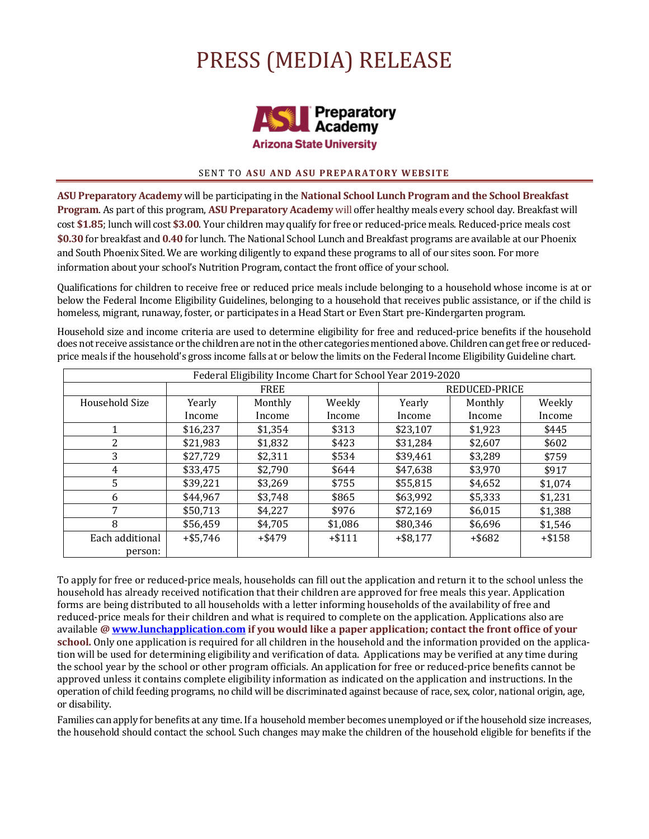# PRESS (MEDIA) RELEASE



## **SENT TO ASU AND ASU PREPARATORY WEBSITE**

**ASU Preparatory Academy** will be participating in the **National School Lunch Program and the School Breakfast Program**. As part of this program, ASU Preparatory Academy will offer healthy meals every school day. Breakfast will cost \$1.85; lunch will cost \$3.00. Your children may qualify for free or reduced-price meals. Reduced-price meals cost \$0.30 for breakfast and 0.40 for lunch. The National School Lunch and Breakfast programs are available at our Phoenix and South Phoenix Sited. We are working diligently to expand these programs to all of our sites soon. For more information about your school's Nutrition Program, contact the front office of your school.

Qualifications for children to receive free or reduced price meals include belonging to a household whose income is at or below the Federal Income Eligibility Guidelines, belonging to a household that receives public assistance, or if the child is homeless, migrant, runaway, foster, or participates in a Head Start or Even Start pre-Kindergarten program.

Household size and income criteria are used to determine eligibility for free and reduced-price benefits if the household does not receive assistance or the children are not in the other categories mentioned above. Children can get free or reducedprice meals if the household's gross income falls at or below the limits on the Federal Income Eligibility Guideline chart.

| Federal Eligibility Income Chart for School Year 2019-2020 |             |           |          |               |           |          |
|------------------------------------------------------------|-------------|-----------|----------|---------------|-----------|----------|
|                                                            | <b>FREE</b> |           |          | REDUCED-PRICE |           |          |
| Household Size                                             | Yearly      | Monthly   | Weekly   | Yearly        | Monthly   | Weekly   |
|                                                            | Income      | Income    | Income   | Income        | Income    | Income   |
|                                                            | \$16,237    | \$1,354   | \$313    | \$23,107      | \$1,923   | \$445    |
| 2                                                          | \$21,983    | \$1,832   | \$423    | \$31,284      | \$2,607   | \$602    |
| 3                                                          | \$27,729    | \$2,311   | \$534    | \$39,461      | \$3,289   | \$759    |
| 4                                                          | \$33,475    | \$2,790   | \$644    | \$47,638      | \$3,970   | \$917    |
| 5                                                          | \$39,221    | \$3.269   | \$755    | \$55,815      | \$4,652   | \$1,074  |
| 6                                                          | \$44,967    | \$3.748   | \$865    | \$63,992      | \$5,333   | \$1,231  |
| 7                                                          | \$50,713    | \$4,227   | \$976    | \$72,169      | \$6,015   | \$1,388  |
| 8                                                          | \$56,459    | \$4,705   | \$1,086  | \$80,346      | \$6,696   | \$1,546  |
| Each additional                                            | $+ $5,746$  | $+$ \$479 | $+ $111$ | $+$ \$8,177   | $+$ \$682 | $+ $158$ |
| person:                                                    |             |           |          |               |           |          |

To apply for free or reduced-price meals, households can fill out the application and return it to the school unless the household has already received notification that their children are approved for free meals this year. Application forms are being distributed to all households with a letter informing households of the availability of free and reduced-price meals for their children and what is required to complete on the application. Applications also are available @ **www.lunchapplication.com** if you would like a paper application; contact the front office of your **school.** Only one application is required for all children in the household and the information provided on the application will be used for determining eligibility and verification of data. Applications may be verified at any time during the school year by the school or other program officials. An application for free or reduced-price benefits cannot be approved unless it contains complete eligibility information as indicated on the application and instructions. In the operation of child feeding programs, no child will be discriminated against because of race, sex, color, national origin, age, or disability.

Families can apply for benefits at any time. If a household member becomes unemployed or if the household size increases, the household should contact the school. Such changes may make the children of the household eligible for benefits if the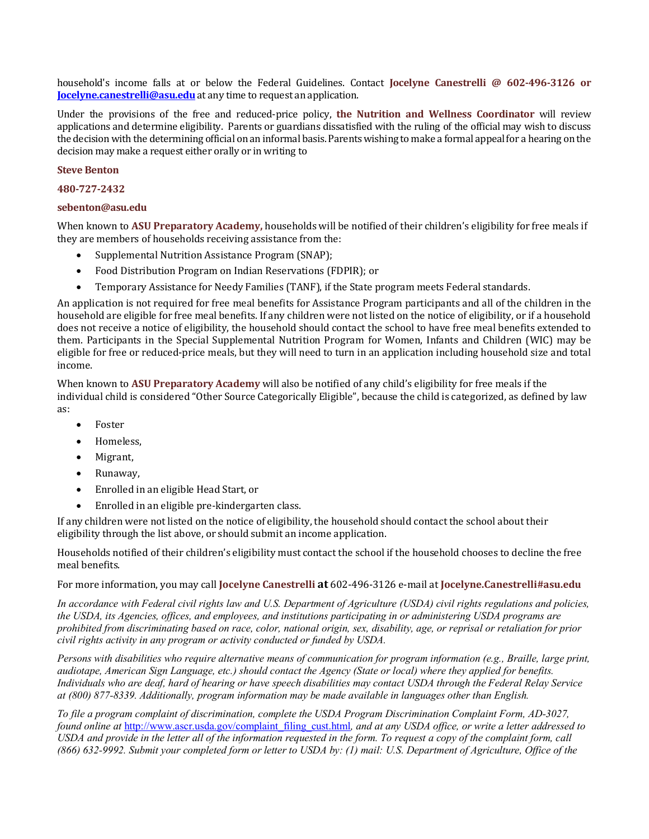household's income falls at or below the Federal Guidelines. Contact **Jocelyne Canestrelli** @ 602-496-3126 or **Jocelyne.canestrelli@asu.edu** at any time to request an application.

Under the provisions of the free and reduced-price policy, the Nutrition and Wellness Coordinator will review applications and determine eligibility. Parents or guardians dissatisfied with the ruling of the official may wish to discuss the decision with the determining official on an informal basis. Parents wishing to make a formal appeal for a hearing on the decision may make a request either orally or in writing to

## **Steve Benton**

### **480-727-2432**

### **sebenton@asu.edu**

When known to ASU Preparatory Academy, households will be notified of their children's eligibility for free meals if they are members of households receiving assistance from the:

- Supplemental Nutrition Assistance Program (SNAP):
- Food Distribution Program on Indian Reservations (FDPIR); or
- Temporary Assistance for Needy Families (TANF), if the State program meets Federal standards.

An application is not required for free meal benefits for Assistance Program participants and all of the children in the household are eligible for free meal benefits. If any children were not listed on the notice of eligibility, or if a household does not receive a notice of eligibility, the household should contact the school to have free meal benefits extended to them. Participants in the Special Supplemental Nutrition Program for Women, Infants and Children (WIC) may be eligible for free or reduced-price meals, but they will need to turn in an application including household size and total income.

When known to ASU Preparatory Academy will also be notified of any child's eligibility for free meals if the individual child is considered "Other Source Categorically Eligible", because the child is categorized, as defined by law as: 

- **Foster**
- Homeless,
- Migrant,
- Runaway,
- Enrolled in an eligible Head Start, or
- Enrolled in an eligible pre-kindergarten class.

If any children were not listed on the notice of eligibility, the household should contact the school about their eligibility through the list above, or should submit an income application.

Households notified of their children's eligibility must contact the school if the household chooses to decline the free meal benefits.

For more information, you may call **Jocelyne Canestrelli at** 602-496-3126 e-mail at **Jocelyne.Canestrelli#asu.edu** 

*In accordance with Federal civil rights law and U.S. Department of Agriculture (USDA) civil rights regulations and policies, the USDA, its Agencies, offices, and employees, and institutions participating in or administering USDA programs are prohibited from discriminating based on race, color, national origin, sex, disability, age, or reprisal or retaliation for prior civil rights activity in any program or activity conducted or funded by USDA.*

*Persons with disabilities who require alternative means of communication for program information (e.g., Braille, large print, audiotape, American Sign Language, etc.) should contact the Agency (State or local) where they applied for benefits. Individuals who are deaf, hard of hearing or have speech disabilities may contact USDA through the Federal Relay Service at (800) 877-8339. Additionally, program information may be made available in languages other than English.*

*To file a program complaint of discrimination, complete the USDA Program Discrimination Complaint Form, AD-3027, found online at http://www.ascr.usda.gov/complaint\_filing\_cust.html, and at any USDA office, or write a letter addressed to USDA and provide in the letter all of the information requested in the form. To request a copy of the complaint form, call (866) 632-9992. Submit your completed form or letter to USDA by: (1) mail: U.S. Department of Agriculture, Office of the*